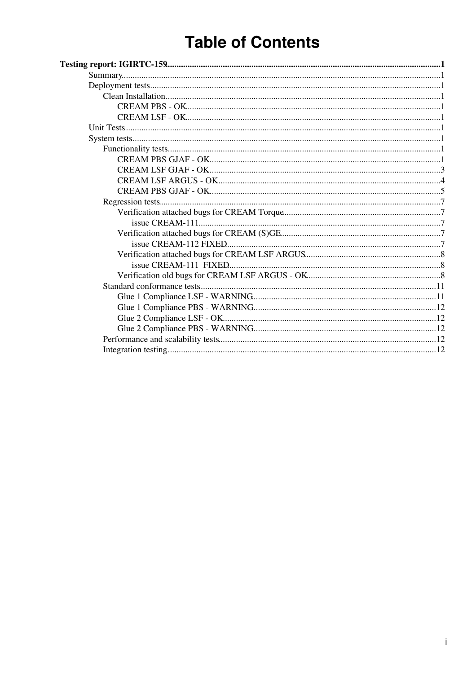# **Table of Contents**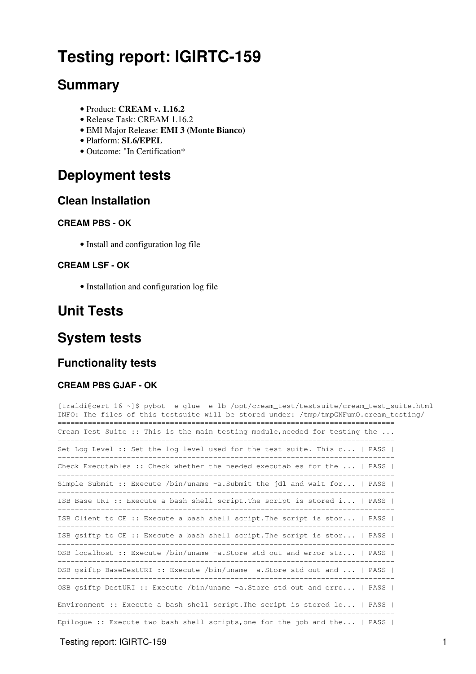# <span id="page-1-0"></span>**Testing report: [IGIRTC-159](http://issues.cnaf.infn.it/browse/IGIRTC-159)**

## <span id="page-1-1"></span>**Summary**

- Product: **CREAM v. 1.16.2**
- Release Task: [CREAM 1.16.2](https://issues.infn.it/jira/browse/CREAM/fixforversion/11210)
- EMI Major Release: **EMI 3 (Monte Bianco)**
- Platform: **SL6/EPEL**
- Outcome: "In Certification\*

## <span id="page-1-2"></span>**Deployment tests**

## <span id="page-1-3"></span>**Clean Installation**

## <span id="page-1-4"></span>**CREAM PBS - OK**

• [Install and configuration log file](https://wiki-igi.cnaf.infn.it/twiki/pub/IGIRelease/EMI3CREAMTaskJiraIGIRTC-159_SL6/20130926_085838_EMI3_SL6-64_CREAM_Torque_install.log)

## <span id="page-1-5"></span>**CREAM LSF - OK**

• [Installation and configuration log file](https://wiki-igi.cnaf.infn.it/twiki/pub/IGIRelease/EMI3CREAMTaskJiraIGIRTC-159_SL6/cream_sl6_x86_64_lsf_install.log.txt)

## <span id="page-1-6"></span>**Unit Tests**

## <span id="page-1-7"></span>**System tests**

## <span id="page-1-8"></span>**Functionality tests**

### <span id="page-1-9"></span>**CREAM PBS GJAF - OK**

```
[traldi@cert-16 ~]$ pybot -e glue -e lb /opt/cream_test/testsuite/cream_test_suite.html
INFO: The files of this testsuite will be stored under: /tmp/tmpGNFumO.cream_testing/
==============================================================================
Cream Test Suite :: This is the main testing module, needed for testing the ...
==============================================================================
Set Log Level :: Set the log level used for the test suite. This c... | PASS |
------------------------------------------------------------------------------
Check Executables :: Check whether the needed executables for the ... | PASS |
------------------------------------------------------------------------------
Simple Submit :: Execute /bin/uname -a.Submit the jdl and wait for... | PASS |
                  ------------------------------------------------------------------------------
ISB Base URI :: Execute a bash shell script.The script is stored i... | PASS |
------------------------------------------------------------------------------
ISB Client to CE :: Execute a bash shell script.The script is stor... | PASS |
------------------------------------------------------------------------------
ISB gsiftp to CE :: Execute a bash shell script.The script is stor... | PASS |
               ------------------------------------------------------------------------------
OSB localhost :: Execute /bin/uname -a.Store std out and error str... | PASS |
                   ------------------------------------------------------------------------------
OSB gsiftp BaseDestURI :: Execute /bin/uname -a.Store std out and ... | PASS |
                    ------------------------------------------------------------------------------
OSB gsiftp DestURI :: Execute /bin/uname -a.Store std out and erro... | PASS |
------------------------------------------------------------------------------
Environment :: Execute a bash shell script. The script is stored lo... | PASS |
------------------------------------------------------------------------------
Epilogue :: Execute two bash shell scripts, one for the job and the... | PASS |
```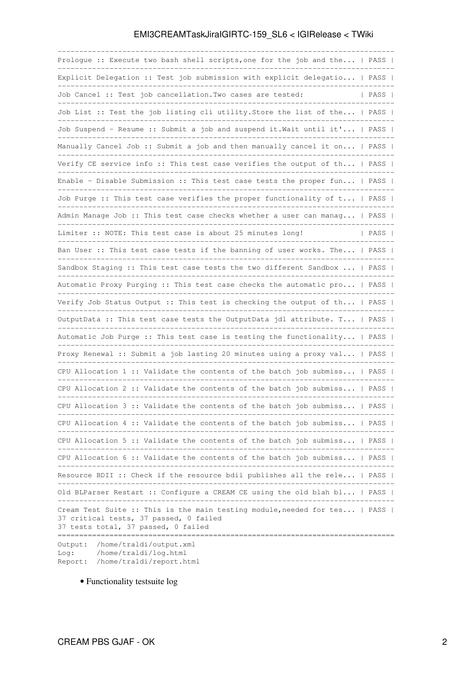| Prologue :: Execute two bash shell scripts, one for the job and the   PASS                                                                                                                            |      |  |
|-------------------------------------------------------------------------------------------------------------------------------------------------------------------------------------------------------|------|--|
| Explicit Delegation :: Test job submission with explicit delegatio   PASS                                                                                                                             |      |  |
| Job Cancel :: Test job cancellation. Two cases are tested:                                                                                                                                            | PASS |  |
| Job List :: Test the job listing cli utility. Store the list of the   PASS                                                                                                                            |      |  |
| Job Suspend - Resume :: Submit a job and suspend it. Wait until it'   PASS                                                                                                                            |      |  |
| Manually Cancel Job :: Submit a job and then manually cancel it on   PASS                                                                                                                             |      |  |
| Verify CE service info :: This test case verifies the output of th   PASS                                                                                                                             |      |  |
| Enable - Disable Submission :: This test case tests the proper fun   PASS                                                                                                                             |      |  |
| Job Purge :: This test case verifies the proper functionality of t   PASS                                                                                                                             |      |  |
| Admin Manage Job :: This test case checks whether a user can manag   PASS                                                                                                                             |      |  |
| Limiter :: NOTE: This test case is about 25 minutes long!                                                                                                                                             | PASS |  |
| Ban User :: This test case tests if the banning of user works. The   PASS                                                                                                                             |      |  |
| Sandbox Staging :: This test case tests the two different Sandbox    PASS                                                                                                                             |      |  |
| Automatic Proxy Purging :: This test case checks the automatic pro   PASS                                                                                                                             |      |  |
| Verify Job Status Output :: This test is checking the output of th   PASS                                                                                                                             |      |  |
| OutputData :: This test case tests the OutputData jdl attribute. T   PASS                                                                                                                             |      |  |
| Automatic Job Purge :: This test case is testing the functionality   PASS                                                                                                                             |      |  |
| Proxy Renewal :: Submit a job lasting 20 minutes using a proxy val   PASS                                                                                                                             |      |  |
| CPU Allocation 1 :: Validate the contents of the batch job submiss   PASS                                                                                                                             |      |  |
| CPU Allocation 2 :: Validate the contents of the batch job submiss   PASS                                                                                                                             |      |  |
| CPU Allocation 3 :: Validate the contents of the batch job submiss                                                                                                                                    | PASS |  |
| CPU Allocation 4 :: Validate the contents of the batch job submiss   PASS                                                                                                                             |      |  |
| ----------------<br>CPU Allocation 5 :: Validate the contents of the batch job submiss   PASS                                                                                                         |      |  |
| CPU Allocation 6 :: Validate the contents of the batch job submiss   PASS                                                                                                                             |      |  |
| ----------------------------<br>Resource BDII :: Check if the resource bdii publishes all the rele   PASS                                                                                             |      |  |
| Old BLParser Restart :: Configure a CREAM CE using the old blah bl   PASS                                                                                                                             |      |  |
| Cream Test Suite :: This is the main testing module, needed for tes   PASS  <br>37 critical tests, 37 passed, 0 failed<br>37 tests total, 37 passed, 0 failed<br>-=================================== |      |  |
| Output: /home/traldi/output.xml<br>/home/traldi/log.html<br>Log:<br>Report: /home/traldi/report.html                                                                                                  |      |  |

• Functionality testsuite [log](https://wiki-igi.cnaf.infn.it/twiki/pub/IGIRelease/EMI3CREAMTaskJiraIGIRTC-159_SL6/testsuitePBS_SL6.tgz)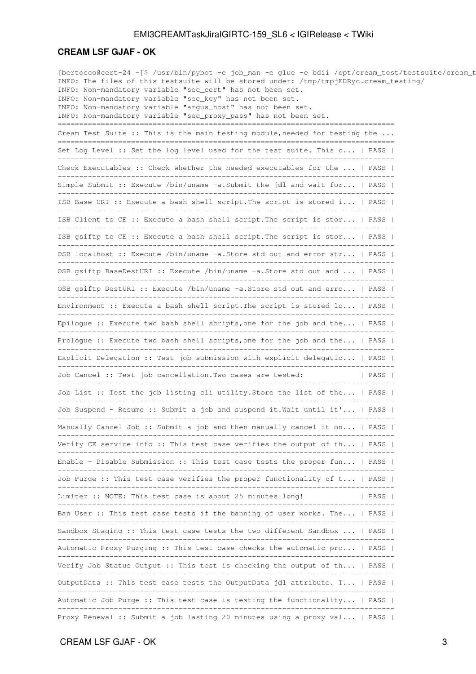#### <span id="page-3-0"></span>**CREAM LSF GJAF - OK**

[bertocco@cert-24 ~]\$ /usr/bin/pybot -e job\_man -e glue -e bdii /opt/cream\_test/testsuite/cream\_t INFO: The files of this testsuite will be stored under: /tmp/tmpjEDRyc.cream\_testing/ INFO: Non-mandatory variable "sec\_cert" has not been set. INFO: Non-mandatory variable "sec\_key" has not been set. INFO: Non-mandatory variable "argus\_host" has not been set. INFO: Non-mandatory variable "sec\_proxy\_pass" has not been set. ============================================================================== Cream Test Suite :: This is the main testing module, needed for testing the ... ============================================================================== Set Log Level :: Set the log level used for the test suite. This c... | PASS | ------------------------------------------------------------------------------ Check Executables :: Check whether the needed executables for the ... | PASS | ------------------------------------------------------------------------------ Simple Submit :: Execute /bin/uname -a.Submit the jdl and wait for... | PASS | ------------------------------------------------------------------------------ ISB Base URI :: Execute a bash shell script.The script is stored i... | PASS | ------------------------------------------------------------------------------ ISB Client to CE :: Execute a bash shell script. The script is stor... | PASS | ------------------------------------------------------------------------------ ISB gsiftp to CE :: Execute a bash shell script. The script is stor... | PASS | ------------------------------------------------------------------------------ OSB localhost :: Execute /bin/uname -a.Store std out and error str... | PASS | ------------------------------------------------------------------------------ OSB gsiftp BaseDestURI :: Execute /bin/uname -a.Store std out and ... | PASS |  $-$ OSB gsiftp DestURI :: Execute /bin/uname -a.Store std out and erro... | PASS | ------------------------------------------------------------------------------ Environment :: Execute a bash shell script. The script is stored lo... | PASS | ------------------------------------------------------------------------------ Epiloque :: Execute two bash shell scripts, one for the job and the... | PASS | ------------------------------------------------------------------------------ Prologue :: Execute two bash shell scripts, one for the job and the... | PASS | ------------------------------------------------------------------------------ Explicit Delegation :: Test job submission with explicit delegatio... | PASS | ------------------------------------------------------------------------------ Job Cancel :: Test job cancellation. Two cases are tested: | PASS | ------------------------------------------------------------------------------ Job List :: Test the job listing cli utility.Store the list of the... | PASS | ------------------------------------------------------------------------------ Job Suspend - Resume :: Submit a job and suspend it.Wait until it'... | PASS | ------------------------------------------------------------------------------ Manually Cancel Job :: Submit a job and then manually cancel it on... | PASS | ------------------------------------------------------------------------------ Verify CE service info :: This test case verifies the output of th... | PASS | ------------------------------------------------------------------------------ Enable - Disable Submission :: This test case tests the proper fun... | PASS | ------------------------------------------------------------------------------ Job Purge :: This test case verifies the proper functionality of t... | PASS | ------------------------------------------------------------------------------ Limiter :: NOTE: This test case is about 25 minutes long! | PASS | ------------------------------------------------------------------------------ Ban User :: This test case tests if the banning of user works. The... | PASS | ------------------------------------------------------------------------------ Sandbox Staging :: This test case tests the two different Sandbox ... | PASS | ------------------------------------------------------------------------------ Automatic Proxy Purging :: This test case checks the automatic pro... | PASS | ------------------------------------------------------------------------------ Verify Job Status Output :: This test is checking the output of th... | PASS | ------------------------------------------------------------------------------ OutputData :: This test case tests the OutputData jdl attribute. T... | PASS | ------------------------------------------------------------------------------ Automatic Job Purge :: This test case is testing the functionality... | PASS | ------------------------------------------------------------------------------ Proxy Renewal :: Submit a job lasting 20 minutes using a proxy val... | PASS |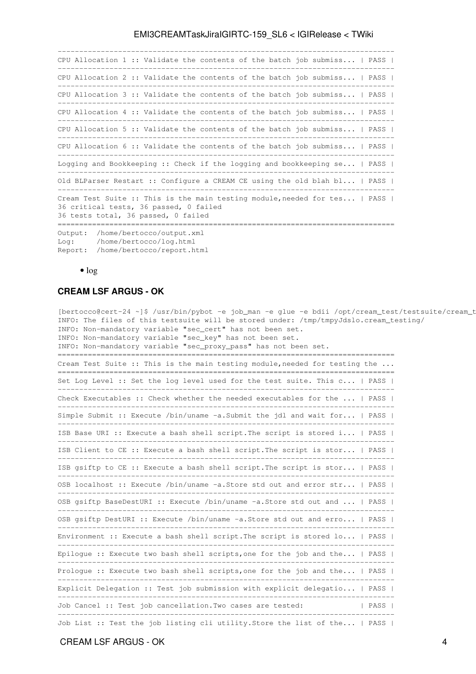------------------------------------------------------------------------------ CPU Allocation 1 :: Validate the contents of the batch job submiss... | PASS | ------------------------------------------------------------------------------ CPU Allocation 2 :: Validate the contents of the batch job submiss... | PASS | ------------------------------------------------------------------------------ CPU Allocation 3 :: Validate the contents of the batch job submiss... | PASS | ------------------------------------------------------------------------------ CPU Allocation 4 :: Validate the contents of the batch job submiss... | PASS | ------------------------------------------------------------------------------ CPU Allocation 5 :: Validate the contents of the batch job submiss... | PASS | ------------------------------------------------------------------------------ CPU Allocation 6 :: Validate the contents of the batch job submiss... | PASS | ------------------------------------------------------------------------------ Logging and Bookkeeping :: Check if the logging and bookkeeping se... | PASS | ------------------------------------------------------------------------------ Old BLParser Restart :: Configure a CREAM CE using the old blah bl... | PASS | ------------------------------------------------------------------------------ Cream Test Suite :: This is the main testing module, needed for tes... | PASS | 36 critical tests, 36 passed, 0 failed 36 tests total, 36 passed, 0 failed ============================================================================== Output: /home/bertocco/output.xml Log: /home/bertocco/log.html

Report: /home/bertocco/report.html

 $\bullet$  [log](https://wiki-igi.cnaf.infn.it/twiki/pub/IGIRelease/EMI3CREAMTaskJiraIGIRTC-159_SL6/functionality_cream_emi3_sl6_lsf.html.log)

#### <span id="page-4-0"></span>**CREAM LSF ARGUS - OK**

[bertocco@cert-24 ~]\$ /usr/bin/pybot -e job\_man -e glue -e bdii /opt/cream\_test/testsuite/cream\_t INFO: The files of this testsuite will be stored under: /tmp/tmpyJdslo.cream\_testing/ INFO: Non-mandatory variable "sec\_cert" has not been set. INFO: Non-mandatory variable "sec\_key" has not been set. INFO: Non-mandatory variable "sec\_proxy\_pass" has not been set. ============================================================================== Cream Test Suite :: This is the main testing module, needed for testing the ... ============================================================================== Set Log Level :: Set the log level used for the test suite. This c... | PASS | ------------------------------------------------------------------------------ Check Executables :: Check whether the needed executables for the ... | PASS | ------------------------------------------------------------------------------ Simple Submit :: Execute /bin/uname -a.Submit the jdl and wait for... | PASS | ------------------------------------------------------------------------------ ISB Base URI :: Execute a bash shell script.The script is stored i... | PASS | ------------------------------------------------------------------------------ ISB Client to CE :: Execute a bash shell script.The script is stor... | PASS | ------------------------------------------------------------------------------ ISB gsiftp to CE :: Execute a bash shell script.The script is stor... | PASS | ------------------------------------------------------------------------------ OSB localhost :: Execute /bin/uname -a.Store std out and error str... | PASS | ------------------------------------------------------------------------------ OSB gsiftp BaseDestURI :: Execute /bin/uname -a.Store std out and ... | PASS | ------------------------------------------------------------------------------ OSB gsiftp DestURI :: Execute /bin/uname -a.Store std out and erro... | PASS | ------------------------------------------------------------------------------ Environment :: Execute a bash shell script.The script is stored lo... | PASS | ------------------------------------------------------------------------------ Epilogue :: Execute two bash shell scripts, one for the job and the... | PASS | ------------------------------------------------------------------------------ Prologue :: Execute two bash shell scripts, one for the job and the... | PASS | ------------------------------------------------------------------------------ Explicit Delegation :: Test job submission with explicit delegatio... | PASS | ------------------------------------------------------------------------------ Job Cancel :: Test job cancellation. Two cases are tested: | PASS | ------------------------------------------------------------------------------ Job List :: Test the job listing cli utility.Store the list of the... | PASS |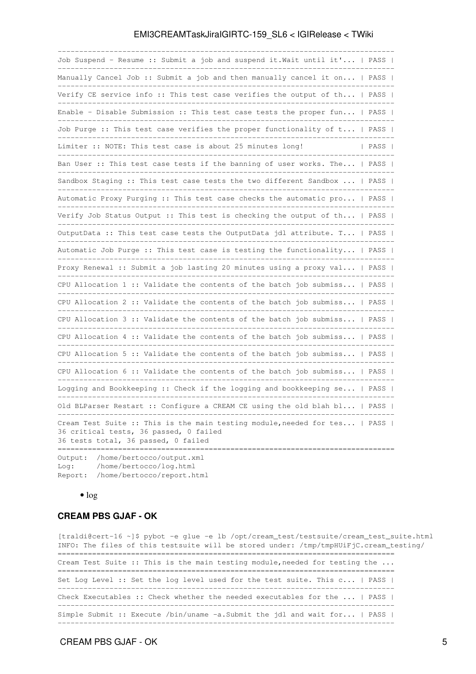| Job Suspend - Resume :: Submit a job and suspend it. Wait until it'   PASS                                                                                                                |      |
|-------------------------------------------------------------------------------------------------------------------------------------------------------------------------------------------|------|
| Manually Cancel Job :: Submit a job and then manually cancel it on   PASS                                                                                                                 |      |
| Verify CE service info :: This test case verifies the output of th   PASS                                                                                                                 |      |
| Enable - Disable Submission :: This test case tests the proper fun   PASS                                                                                                                 |      |
| Job Purge :: This test case verifies the proper functionality of t   PASS                                                                                                                 |      |
| Limiter :: NOTE: This test case is about 25 minutes long!<br>_________________________<br>______________________________                                                                  | PASS |
| Ban User :: This test case tests if the banning of user works. The   PASS                                                                                                                 |      |
| Sandbox Staging :: This test case tests the two different Sandbox    PASS                                                                                                                 |      |
| Automatic Proxy Purging :: This test case checks the automatic pro   PASS                                                                                                                 |      |
| Verify Job Status Output :: This test is checking the output of th   PASS                                                                                                                 |      |
| OutputData :: This test case tests the OutputData jdl attribute. T   PASS                                                                                                                 |      |
| Automatic Job Purge :: This test case is testing the functionality   PASS                                                                                                                 |      |
| Proxy Renewal :: Submit a job lasting 20 minutes using a proxy val   PASS                                                                                                                 |      |
| CPU Allocation 1 :: Validate the contents of the batch job submiss   PASS  <br>--------------------                                                                                       |      |
| CPU Allocation 2 :: Validate the contents of the batch job submiss   PASS                                                                                                                 |      |
| CPU Allocation 3 :: Validate the contents of the batch job submiss   PASS  <br>--------------------------                                                                                 |      |
| CPU Allocation 4 :: Validate the contents of the batch job submiss   PASS                                                                                                                 |      |
| CPU Allocation 5 :: Validate the contents of the batch job submiss   PASS                                                                                                                 |      |
| -------------------------------------<br>CPU Allocation $6:$ : Validate the contents of the batch job submiss   PASS                                                                      |      |
| Logging and Bookkeeping :: Check if the logging and bookkeeping se   PASS                                                                                                                 |      |
| Old BLParser Restart :: Configure a CREAM CE using the old blah bl   PASS                                                                                                                 |      |
| Cream Test Suite :: This is the main testing module, needed for tes   PASS  <br>36 critical tests, 36 passed, 0 failed<br>36 tests total, 36 passed, 0 failed<br>------------------------ |      |
| /home/bertocco/output.xml<br>Output:                                                                                                                                                      |      |

Log: /home/bertocco/log.html Report: /home/bertocco/report.html

• [log](https://wiki-igi.cnaf.infn.it/twiki/pub/IGIRelease/EMI3CREAMTaskJiraIGIRTC-159_SL6/functionality_cream_emi3_sl6_lsf_argus.html.log)

#### <span id="page-5-0"></span>**CREAM PBS GJAF - OK**

[traldi@cert-16 ~]\$ pybot -e glue -e lb /opt/cream\_test/testsuite/cream\_test\_suite.html INFO: The files of this testsuite will be stored under: /tmp/tmpHUiFjC.cream\_testing/ ============================================================================== Cream Test Suite :: This is the main testing module,needed for testing the ... ============================================================================== Set Log Level :: Set the log level used for the test suite. This c... | PASS | ------------------------------------------------------------------------------ Check Executables :: Check whether the needed executables for the ... | PASS | ------------------------------------------------------------------------------ Simple Submit :: Execute /bin/uname -a.Submit the jdl and wait for... | PASS | ------------------------------------------------------------------------------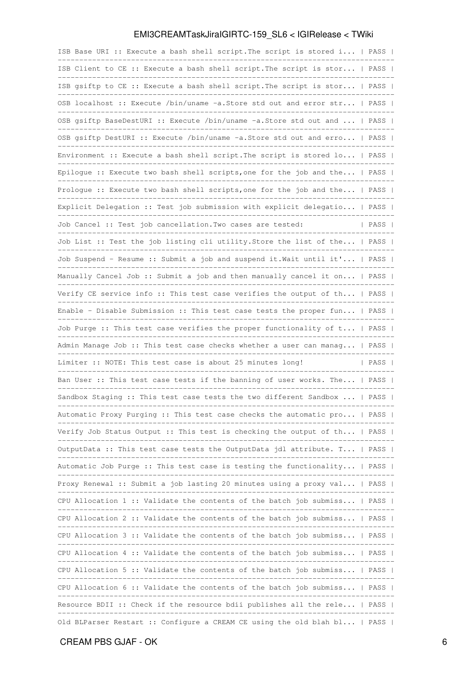| ISB Base URI :: Execute a bash shell script. The script is stored i   PASS |      |  |
|----------------------------------------------------------------------------|------|--|
| ISB Client to CE :: Execute a bash shell script. The script is stor   PASS |      |  |
| ISB gsiftp to CE :: Execute a bash shell script. The script is stor   PASS |      |  |
| OSB localhost :: Execute /bin/uname -a.Store std out and error str   PASS  |      |  |
| OSB gsiftp BaseDestURI :: Execute /bin/uname -a.Store std out and    PASS  |      |  |
| OSB gsiftp DestURI :: Execute /bin/uname -a. Store std out and erro   PASS |      |  |
| Environment :: Execute a bash shell script. The script is stored lo   PASS |      |  |
| Epilogue :: Execute two bash shell scripts, one for the job and the   PASS |      |  |
| Prologue :: Execute two bash shell scripts, one for the job and the   PASS |      |  |
| Explicit Delegation :: Test job submission with explicit delegatio   PASS  |      |  |
| Job Cancel :: Test job cancellation. Two cases are tested:                 | PASS |  |
| Job List :: Test the job listing cli utility. Store the list of the   PASS |      |  |
| Job Suspend - Resume :: Submit a job and suspend it. Wait until it'   PASS |      |  |
| Manually Cancel Job :: Submit a job and then manually cancel it on   PASS  |      |  |
| Verify CE service info :: This test case verifies the output of th   PASS  |      |  |
| Enable - Disable Submission :: This test case tests the proper fun   PASS  |      |  |
| Job Purge :: This test case verifies the proper functionality of t   PASS  |      |  |
| Admin Manage Job :: This test case checks whether a user can manag   PASS  |      |  |
| Limiter :: NOTE: This test case is about 25 minutes long!                  | PASS |  |
| Ban User :: This test case tests if the banning of user works. The   PASS  |      |  |
| Sandbox Staging :: This test case tests the two different Sandbox    PASS  |      |  |
| Automatic Proxy Purging :: This test case checks the automatic pro   PASS  |      |  |
| Verify Job Status Output :: This test is checking the output of th   PASS  |      |  |
| OutputData :: This test case tests the OutputData jdl attribute. T   PASS  |      |  |
| Automatic Job Purge :: This test case is testing the functionality   PASS  |      |  |
| Proxy Renewal :: Submit a job lasting 20 minutes using a proxy val   PASS  |      |  |
| CPU Allocation 1 :: Validate the contents of the batch job submiss   PASS  |      |  |
| CPU Allocation 2 :: Validate the contents of the batch job submiss   PASS  |      |  |
| CPU Allocation 3 :: Validate the contents of the batch job submiss   PASS  |      |  |
| CPU Allocation 4 :: Validate the contents of the batch job submiss   PASS  |      |  |
| CPU Allocation 5 :: Validate the contents of the batch job submiss   PASS  |      |  |
| CPU Allocation 6 :: Validate the contents of the batch job submiss   PASS  |      |  |
| Resource BDII :: Check if the resource bdii publishes all the rele   PASS  |      |  |
| Old BLParser Restart :: Configure a CREAM CE using the old blah bl   PASS  |      |  |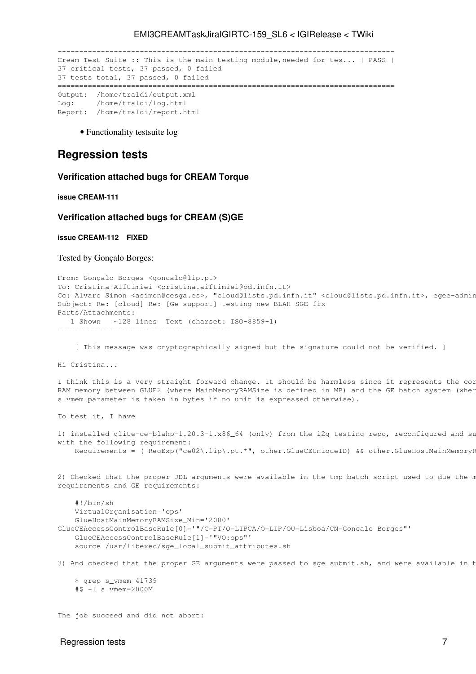```
------------------------------------------------------------------------------
Cream Test Suite :: This is the main testing module, needed for tes... | PASS |
37 critical tests, 37 passed, 0 failed
37 tests total, 37 passed, 0 failed
                                     ==============================================================================
Output: /home/traldi/output.xml
Log: /home/traldi/log.html
Report: /home/traldi/report.html
```
• Functionality testsuite [log](https://wiki-igi.cnaf.infn.it/twiki/pub/IGIRelease/EMI3CREAMTaskJiraIGIRTC-159_SL6/testsuitePBS_Argus_SL6.tgz)

## <span id="page-7-0"></span>**Regression tests**

#### <span id="page-7-1"></span>**Verification attached bugs for CREAM Torque**

<span id="page-7-2"></span>**[issue CREAM-111](https://issues.infn.it/jira/browse/CREAM-111)**

#### <span id="page-7-3"></span>**Verification attached bugs for CREAM (S)GE**

----------------------------------------

<span id="page-7-4"></span>**[issue CREAM-112](https://issues.infn.it/jira/browse/CREAM-112) FIXED**

Tested by Gonçalo Borges:

```
From: Gonçalo Borges <goncalo@lip.pt>
To: Cristina Aiftimiei <cristina.aiftimiei@pd.infn.it>
Cc: Alvaro Simon <asimon@cesga.es>, "cloud@lists.pd.infn.it" <cloud@lists.pd.infn.it>, egee-admin
Subject: Re: [cloud] Re: [Ge-support] testing new BLAH-SGE fix
Parts/Attachments:
  1 Shown ~128 lines Text (charset: ISO-8859-1)
```
[ This message was cryptographically signed but the signature could not be verified. ]

Hi Cristina...

I think this is a very straight forward change. It should be harmless since it represents the cor RAM memory between GLUE2 (where MainMemoryRAMSize is defined in MB) and the GE batch system (wher s\_vmem parameter is taken in bytes if no unit is expressed otherwise).

To test it, I have

```
1) installed glite-ce-blahp-1.20.3-1.x86_64 (only) from the i2g testing repo, reconfigured and su
with the following requirement:
   Requirements = (RegExp("ce02\.lip\.pt.*", other.GlueCEUniqueID) && other.GlueHostMainMemoryR
```
2) Checked that the proper JDL arguments were available in the tmp batch script used to due the m requirements and GE requirements:

```
 #!/bin/sh
     VirtualOrganisation='ops'
     GlueHostMainMemoryRAMSize_Min='2000'
GlueCEAccessControlBaseRule[0]='"/C=PT/O=LIPCA/O=LIP/OU=Lisboa/CN=Goncalo Borges"'
     GlueCEAccessControlBaseRule[1]='"VO:ops"'
     source /usr/libexec/sge_local_submit_attributes.sh
```
3) And checked that the proper GE arguments were passed to sge\_submit.sh, and were available in t

 \$ grep s\_vmem 41739 #\$ -l s\_vmem=2000M

The job succeed and did not abort:

#### Regression tests **7**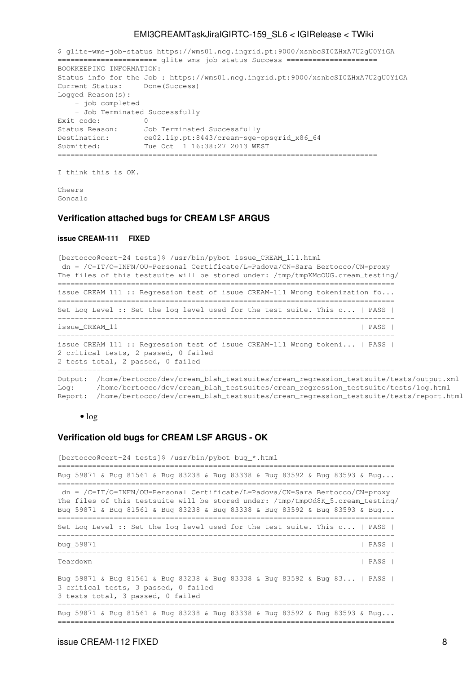\$ glite-wms-job-status https://wms01.ncg.ingrid.pt:9000/xsnbcSI0ZHxA7U2gU0YiGA ======================= glite-wms-job-status Success ===================== BOOKKEEPING INFORMATION: Status info for the Job : https://wms01.ncg.ingrid.pt:9000/xsnbcSI0ZHxA7U2gU0YiGA Current Status: Done(Success) Logged Reason(s): - job completed - Job Terminated Successfully Exit code: 0<br>Status Reason: Jo Job Terminated Successfully Destination: ce02.lip.pt:8443/cream-sge-opsgrid\_x86\_64 Destination: ceuz.iip.pt:8443/cream-sge-op<br>Submitted: Tue Oct 1 16:38:27 2013 WEST ==========================================================================

I think this is OK.

Cheers Goncalo

#### <span id="page-8-0"></span>**Verification attached bugs for CREAM LSF ARGUS**

#### <span id="page-8-1"></span>**[issue CREAM-111](https://issues.infn.it/jira/browse/CREAM-111) FIXED**

[bertocco@cert-24 tests]\$ /usr/bin/pybot issue\_CREAM\_111.html dn = /C=IT/O=INFN/OU=Personal Certificate/L=Padova/CN=Sara Bertocco/CN=proxy The files of this testsuite will be stored under: /tmp/tmpKMcOUG.cream\_testing/ ============================================================================== issue CREAM 111 :: Regression test of isuue CREAM-111 Wrong tokenization fo... ============================================================================== Set Log Level :: Set the log level used for the test suite. This c... | PASS | ----------------------------------------------------------------------------- issue\_CREAM\_11 | PASS | PASS | ----------------------------------------------------------------------------- issue CREAM 111 :: Regression test of isuue CREAM-111 Wrong tokeni... | PASS | 2 critical tests, 2 passed, 0 failed 2 tests total, 2 passed, 0 failed ============================================================================== Output: /home/bertocco/dev/cream\_blah\_testsuites/cream\_regression\_testsuite/tests/output.xml Log: /home/bertocco/dev/cream\_blah\_testsuites/cream\_regression\_testsuite/tests/log.html Report: /home/bertocco/dev/cream\_blah\_testsuites/cream\_regression\_testsuite/tests/report.html

#### $\bullet$  [log](https://wiki-igi.cnaf.infn.it/twiki/pub/IGIRelease/EMI3CREAMTaskJiraIGIRTC-159_SL6/issue_cream_111.html.log)

#### <span id="page-8-2"></span>**Verification old bugs for CREAM LSF ARGUS - OK**

```
[bertocco@cert-24 tests]$ /usr/bin/pybot bug_*.html
==============================================================================
Bug 59871 & Bug 81561 & Bug 83238 & Bug 83338 & Bug 83592 & Bug 83593 & Bug...
==============================================================================
 dn = /C=IT/O=INFN/OU=Personal Certificate/L=Padova/CN=Sara Bertocco/CN=proxy
The files of this testsuite will be stored under: /tmp/tmpOd8K_5.cream_testing/
Bug 59871 & Bug 81561 & Bug 83238 & Bug 83338 & Bug 83592 & Bug 83593 & Bug...
==============================================================================
Set Log Level :: Set the log level used for the test suite. This c... | PASS |
            ------------------------------------------------------------------------------
bug_59871 | PASS |
          ------------------------------------------------------------------------------
Teardown | PASS | PASS | PASS | PASS | PASS | PASS | PASS | PASS | PASS | PASS | PASS | PASS | PASS | PASS | PASS | PASS | PASS | PASS | PASS | PASS | PASS | PASS | PASS | PASS | PASS | PASS | PASS | PASS | PASS | PASS | P
------------------------------------------------------------------------------
Bug 59871 & Bug 81561 & Bug 83238 & Bug 83338 & Bug 83592 & Bug 83... | PASS |
3 critical tests, 3 passed, 0 failed
3 tests total, 3 passed, 0 failed
==============================================================================
Bug 59871 & Bug 81561 & Bug 83238 & Bug 83338 & Bug 83592 & Bug 83593 & Bug...
```
==============================================================================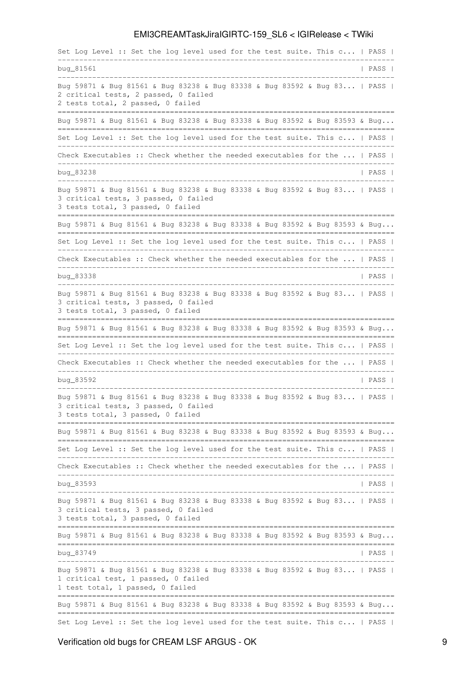Set Log Level :: Set the log level used for the test suite. This c... | PASS | ----------------------------------------------------------------------------- bug\_81561 | PASS | ------------------------------------------------------------------------------ Bug 59871 & Bug 81561 & Bug 83238 & Bug 83338 & Bug 83592 & Bug 83... | PASS | 2 critical tests, 2 passed, 0 failed 2 tests total, 2 passed, 0 failed ============================================================================== Bug 59871 & Bug 81561 & Bug 83238 & Bug 83338 & Bug 83592 & Bug 83593 & Bug... ============================================================================== Set Log Level :: Set the log level used for the test suite. This c... | PASS | ------------------------------------------------------------------------------ Check Executables :: Check whether the needed executables for the ... | PASS | ----------------------------------------------------------------------------- bug\_83238 | PASS | PASS | PASS | PASS | PASS | PASS | PASS | PASS | PASS | PASS | PASS | PASS | PASS | PASS | PASS | PASS | PASS | PASS | PASS | PASS | PASS | PASS | PASS | PASS | PASS | PASS | PASS | PASS | PASS | PASS | ------------------------------------------------------------------------------ Bug 59871 & Bug 81561 & Bug 83238 & Bug 83338 & Bug 83592 & Bug 83... | PASS | 3 critical tests, 3 passed, 0 failed 3 tests total, 3 passed, 0 failed ============================================================================== Bug 59871 & Bug 81561 & Bug 83238 & Bug 83338 & Bug 83592 & Bug 83593 & Bug... ============================================================================== Set Log Level :: Set the log level used for the test suite. This c... | PASS | ------------------------------------------------------------------------------ Check Executables :: Check whether the needed executables for the ... | PASS | -----------------------------------------------------------------------------  $b u q$   $B$  3338  $\vert$  PASS  $\vert$ ------------------------------------------------------------------------------ Bug 59871 & Bug 81561 & Bug 83238 & Bug 83338 & Bug 83592 & Bug 83... | PASS | 3 critical tests, 3 passed, 0 failed 3 tests total, 3 passed, 0 failed ============================================================================== Bug 59871 & Bug 81561 & Bug 83238 & Bug 83338 & Bug 83592 & Bug 83593 & Bug... ============================================================================== Set Log Level :: Set the log level used for the test suite. This c... | PASS | ------------------------------------------------------------------------------ Check Executables :: Check whether the needed executables for the ... | PASS | ----------------------------------------------------------------------------- bug\_83592 | PASS | PASS | PASS | PASS | PASS | PASS | PASS | PASS | PASS | PASS | PASS | PASS | PASS | PASS | PASS | PASS | PASS | PASS | PASS | PASS | PASS | PASS | PASS | PASS | PASS | PASS | PASS | PASS | PASS | PASS | ------------------------------------------------------------------------------ Bug 59871 & Bug 81561 & Bug 83238 & Bug 83338 & Bug 83592 & Bug 83... | PASS | 3 critical tests, 3 passed, 0 failed 3 tests total, 3 passed, 0 failed ============================================================================== Bug 59871 & Bug 81561 & Bug 83238 & Bug 83338 & Bug 83592 & Bug 83593 & Bug... ============================================================================== Set Log Level :: Set the log level used for the test suite. This c... | PASS | ------------------------------------------------------------------------------ Check Executables :: Check whether the needed executables for the ... | PASS | ----------------------------------------------------------------------------- bug\_83593 | PASS | ------------------------------------------------------------------------------ Bug 59871 & Bug 81561 & Bug 83238 & Bug 83338 & Bug 83592 & Bug 83... | PASS | 3 critical tests, 3 passed, 0 failed 3 tests total, 3 passed, 0 failed ============================================================================== Bug 59871 & Bug 81561 & Bug 83238 & Bug 83338 & Bug 83592 & Bug 83593 & Bug... ============================================================================== bug\_83749 | PASS | ------------------------------------------------------------------------------ Bug 59871 & Bug 81561 & Bug 83238 & Bug 83338 & Bug 83592 & Bug 83... | PASS | 1 critical test, 1 passed, 0 failed 1 test total, 1 passed, 0 failed ============================================================================== Bug 59871 & Bug 81561 & Bug 83238 & Bug 83338 & Bug 83592 & Bug 83593 & Bug... ============================================================================== Set Log Level :: Set the log level used for the test suite. This c... | PASS |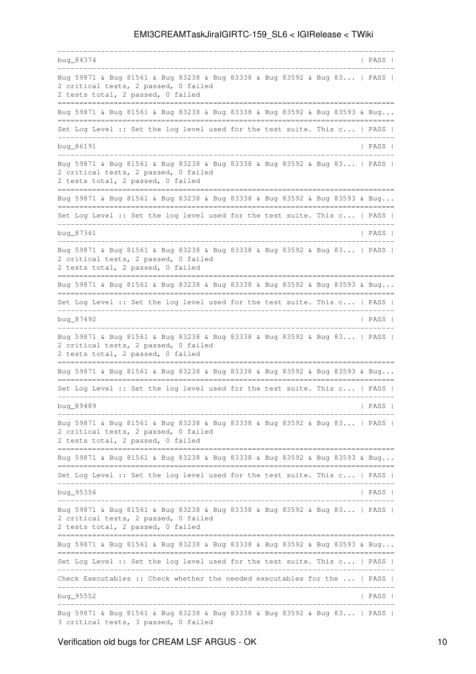-----------------------------------------------------------------------------  $b u q_84374$  PASS | ------------------------------------------------------------------------------ Bug 59871 & Bug 81561 & Bug 83238 & Bug 83338 & Bug 83592 & Bug 83... | PASS | 2 critical tests, 2 passed, 0 failed 2 tests total, 2 passed, 0 failed ============================================================================== Bug 59871 & Bug 81561 & Bug 83238 & Bug 83338 & Bug 83592 & Bug 83593 & Bug... ============================================================================== Set Log Level :: Set the log level used for the test suite. This c... | PASS | ----------------------------------------------------------------------------- bug\_86191 | PASS | PASS | PASS | PASS | PASS | PASS | PASS | PASS | PASS | PASS | PASS | PASS | PASS | PASS | PASS | PASS | PASS | PASS | PASS | PASS | PASS | PASS | PASS | PASS | PASS | PASS | PASS | PASS | PASS | PASS | ------------------------------------------------------------------------------ Bug 59871 & Bug 81561 & Bug 83238 & Bug 83338 & Bug 83592 & Bug 83... | PASS | 2 critical tests, 2 passed, 0 failed 2 tests total, 2 passed, 0 failed ============================================================================== Bug 59871 & Bug 81561 & Bug 83238 & Bug 83338 & Bug 83592 & Bug 83593 & Bug... ============================================================================== Set Log Level :: Set the log level used for the test suite. This c... | PASS | ----------------------------------------------------------------------------- bug\_87361 | PASS | PASS | PASS | PASS | PASS | PASS | PASS | PASS | PASS | PASS | PASS | PASS | PASS | PASS | PASS | PASS | PASS | PASS | PASS | PASS | PASS | PASS | PASS | PASS | PASS | PASS | PASS | PASS | PASS | PASS | ------------------------------------------------------------------------------ Bug 59871 & Bug 81561 & Bug 83238 & Bug 83338 & Bug 83592 & Bug 83... | PASS | 2 critical tests, 2 passed, 0 failed 2 tests total, 2 passed, 0 failed ============================================================================== Bug 59871 & Bug 81561 & Bug 83238 & Bug 83338 & Bug 83592 & Bug 83593 & Bug... ============================================================================== Set Log Level :: Set the log level used for the test suite. This c... | PASS | ----------------------------------------------------------------------------- bug\_87492 | PASS | ------------------------------------------------------------------------------ Bug 59871 & Bug 81561 & Bug 83238 & Bug 83338 & Bug 83592 & Bug 83... | PASS | 2 critical tests, 2 passed, 0 failed 2 tests total, 2 passed, 0 failed ============================================================================== Bug 59871 & Bug 81561 & Bug 83238 & Bug 83338 & Bug 83592 & Bug 83593 & Bug... ============================================================================== Set Log Level :: Set the log level used for the test suite. This c... | PASS | ----------------------------------------------------------------------------- bug\_89489 | PASS | PASS | PASS | PASS | PASS | PASS | PASS | PASS | PASS | PASS | PASS | PASS | PASS | PASS | PASS | PASS | PASS | PASS | PASS | PASS | PASS | PASS | PASS | PASS | PASS | PASS | PASS | PASS | PASS | PASS | ------------------------------------------------------------------------------ Bug 59871 & Bug 81561 & Bug 83238 & Bug 83338 & Bug 83592 & Bug 83... | PASS | 2 critical tests, 2 passed, 0 failed 2 tests total, 2 passed, 0 failed ============================================================================== Bug 59871 & Bug 81561 & Bug 83238 & Bug 83338 & Bug 83592 & Bug 83593 & Bug... ============================================================================== Set Log Level :: Set the log level used for the test suite. This c... | PASS | ----------------------------------------------------------------------------- bug\_95356 | PASS | PASS | PASS | PASS | PASS | PASS | PASS | PASS | PASS | PASS | PASS | PASS | PASS | PASS | PASS | PASS | PASS | PASS | PASS | PASS | PASS | PASS | PASS | PASS | PASS | PASS | PASS | PASS | PASS | PASS | ------------------------------------------------------------------------------ Bug 59871 & Bug 81561 & Bug 83238 & Bug 83338 & Bug 83592 & Bug 83... | PASS | 2 critical tests, 2 passed, 0 failed 2 tests total, 2 passed, 0 failed ============================================================================== Bug 59871 & Bug 81561 & Bug 83238 & Bug 83338 & Bug 83592 & Bug 83593 & Bug... ============================================================================== Set Log Level :: Set the log level used for the test suite. This c... | PASS | ------------------------------------------------------------------------------ Check Executables :: Check whether the needed executables for the ... | PASS | ----------------------------------------------------------------------------- bug\_95552 | PASS | PASS | PASS | PASS | PASS | PASS | PASS | PASS | PASS | PASS | PASS | PASS | PASS | PASS | PASS | PASS | PASS | PASS | PASS | PASS | PASS | PASS | PASS | PASS | PASS | PASS | PASS | PASS | PASS | PASS | ------------------------------------------------------------------------------ Bug 59871 & Bug 81561 & Bug 83238 & Bug 83338 & Bug 83592 & Bug 83... | PASS | 3 critical tests, 3 passed, 0 failed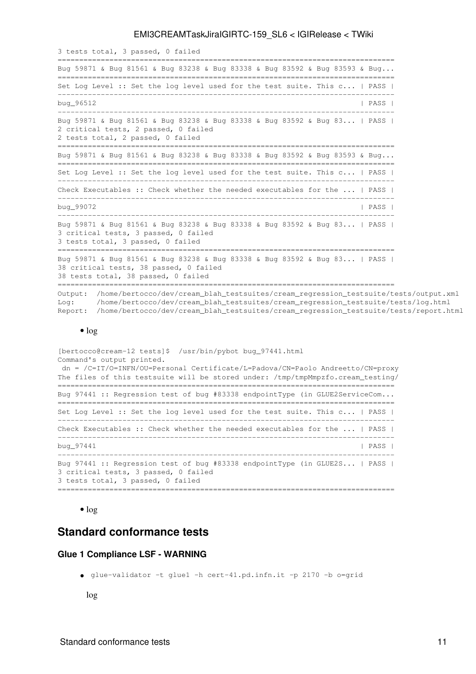3 tests total, 3 passed, 0 failed ============================================================================== Bug 59871 & Bug 81561 & Bug 83238 & Bug 83338 & Bug 83592 & Bug 83593 & Bug... ============================================================================== Set Log Level :: Set the log level used for the test suite. This c... | PASS | ----------------------------------------------------------------------------- bug\_96512 | PASS | PASS | PASS | PASS | PASS | PASS | PASS | PASS | PASS | PASS | PASS | PASS | PASS | PASS | PASS | PASS | PASS | PASS | PASS | PASS | PASS | PASS | PASS | PASS | PASS | PASS | PASS | PASS | PASS | PASS | ------------------------------------------------------------------------------ Bug 59871 & Bug 81561 & Bug 83238 & Bug 83338 & Bug 83592 & Bug 83... | PASS | 2 critical tests, 2 passed, 0 failed 2 tests total, 2 passed, 0 failed ============================================================================== Bug 59871 & Bug 81561 & Bug 83238 & Bug 83338 & Bug 83592 & Bug 83593 & Bug... ============================================================================== Set Log Level :: Set the log level used for the test suite. This c... | PASS | ------------------------------------------------------------------------------ Check Executables :: Check whether the needed executables for the ... | PASS | ----------------------------------------------------------------------------- bug\_99072 | PASS | ------------------------------------------------------------------------------ Bug 59871 & Bug 81561 & Bug 83238 & Bug 83338 & Bug 83592 & Bug 83... | PASS | 3 critical tests, 3 passed, 0 failed 3 tests total, 3 passed, 0 failed ============================================================================== Bug 59871 & Bug 81561 & Bug 83238 & Bug 83338 & Bug 83592 & Bug 83... | PASS | 38 critical tests, 38 passed, 0 failed 38 tests total, 38 passed, 0 failed ============================================================================== Output: /home/bertocco/dev/cream\_blah\_testsuites/cream\_regression\_testsuite/tests/output.xml Log: /home/bertocco/dev/cream\_blah\_testsuites/cream\_regression\_testsuite/tests/log.html Report: /home/bertocco/dev/cream\_blah\_testsuites/cream\_regression\_testsuite/tests/report.html

#### $\bullet$  [log](https://wiki-igi.cnaf.infn.it/twiki/pub/IGIRelease/EMI3CREAMTaskJiraIGIRTC-159_SL6/regression_cream_emi3_sl6_lsf_argus.html.log)

[bertocco@cream-12 tests]\$ /usr/bin/pybot bug\_97441.html Command's output printed. dn = /C=IT/O=INFN/OU=Personal Certificate/L=Padova/CN=Paolo Andreetto/CN=proxy The files of this testsuite will be stored under: /tmp/tmpMmpzfo.cream\_testing/ ============================================================================== Bug 97441 :: Regression test of bug #83338 endpointType (in GLUE2ServiceCom... ============================================================================== Set Log Level :: Set the log level used for the test suite. This c... | PASS | ------------------------------------------------------------------------------ Check Executables :: Check whether the needed executables for the ... | PASS | ----------------------------------------------------------------------------- bug\_97441 | PASS | ------------------------------------------------------------------------------ Bug 97441 :: Regression test of bug #83338 endpointType (in GLUE2S... | PASS | 3 critical tests, 3 passed, 0 failed 3 tests total, 3 passed, 0 failed ==============================================================================

#### • [log](https://wiki-igi.cnaf.infn.it/twiki/pub/IGIRelease/EMI3CREAMTaskJiraIGIRTC-159_SL6/bug97441_cream_emi3_sl6_lsf_argus.html.log)

## <span id="page-11-0"></span>**Standard conformance tests**

#### <span id="page-11-1"></span>**Glue 1 Compliance LSF - WARNING**

glue-validator -t glue1 -h cert-41.pd.infn.it -p 2170 -b o=grid •

[log](https://wiki-igi.cnaf.infn.it/twiki/pub/IGIRelease/EMI3CREAMTaskJiraIGIRTC-159_SL6/glue1_cream_emi3_sl6_lsf.log)